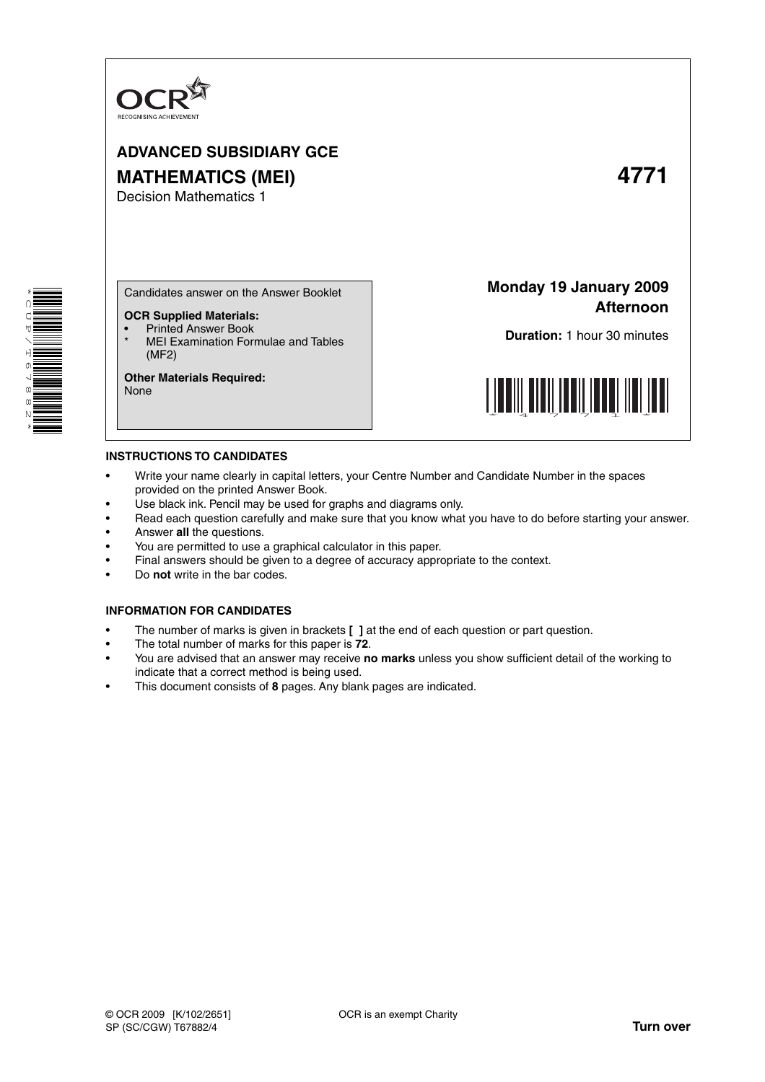

# **ADVANCED SUBSIDIARY GCE MATHEMATICS (MEI) 4771**

Decision Mathematics 1



Candidates answer on the Answer Booklet

#### **OCR Supplied Materials:**

• Printed Answer Book MEI Examination Formulae and Tables (MF2)

**Other Materials Required:** None

**Monday 19 January 2009 Afternoon**

**Duration:** 1 hour 30 minutes



#### **INSTRUCTIONS TO CANDIDATES**

- Write your name clearly in capital letters, your Centre Number and Candidate Number in the spaces provided on the printed Answer Book.
- Use black ink. Pencil may be used for graphs and diagrams only.
- Read each question carefully and make sure that you know what you have to do before starting your answer.
- Answer **all** the questions.
- You are permitted to use a graphical calculator in this paper.
- Final answers should be given to a degree of accuracy appropriate to the context.
- Do **not** write in the bar codes.

#### **INFORMATION FOR CANDIDATES**

- The number of marks is given in brackets **[ ]** at the end of each question or part question.
- The total number of marks for this paper is **72**.
- You are advised that an answer may receive **no marks** unless you show sufficient detail of the working to indicate that a correct method is being used.
- This document consists of **8** pages. Any blank pages are indicated.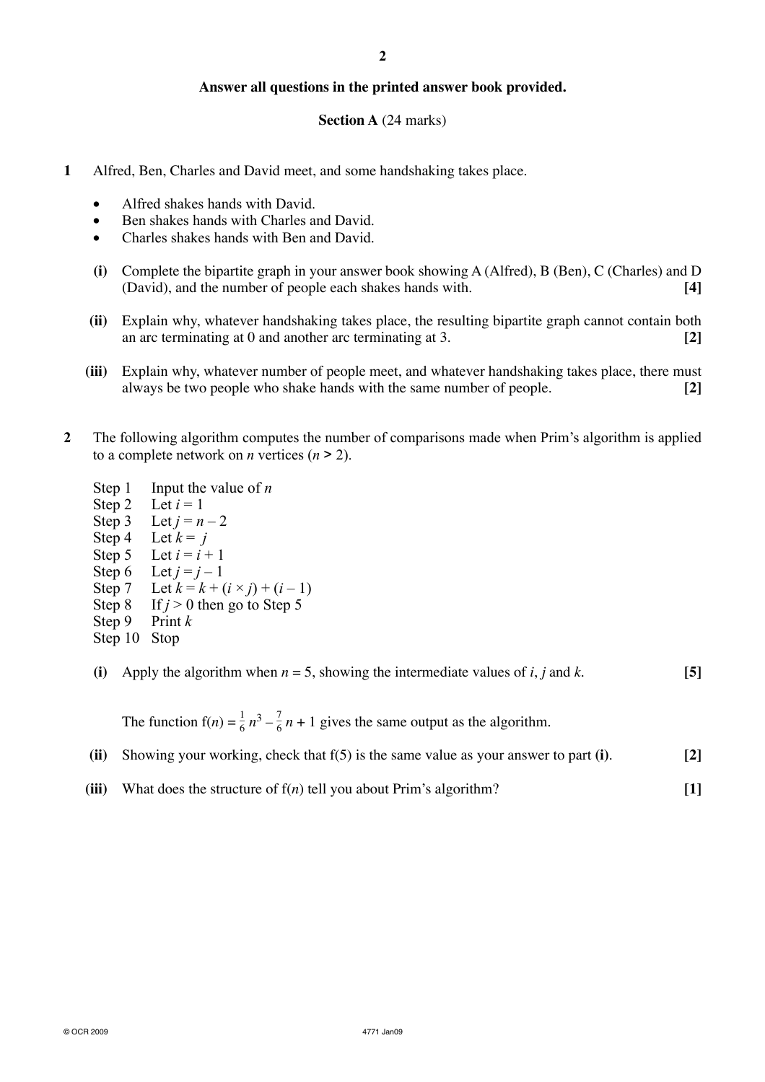### **Answer all questions in the printed answer book provided.**

### **Section A** (24 marks)

- **1** Alfred, Ben, Charles and David meet, and some handshaking takes place.
	- Alfred shakes hands with David.
	- Ben shakes hands with Charles and David.
	- Charles shakes hands with Ben and David.
	- **(i)** Complete the bipartite graph in your answer book showing A (Alfred), B (Ben), C (Charles) and D (David), and the number of people each shakes hands with. **[4]**
	- **(ii)** Explain why, whatever handshaking takes place, the resulting bipartite graph cannot contain both an arc terminating at 0 and another arc terminating at 3. **[2]**
	- **(iii)** Explain why, whatever number of people meet, and whatever handshaking takes place, there must always be two people who shake hands with the same number of people. **[2]**
- **2** The following algorithm computes the number of comparisons made when Prim's algorithm is applied to a complete network on *n* vertices (*n* > 2).
	- Step 1 Input the value of *n* Step 2 Let  $i = 1$ Step 3 Let  $j = n - 2$ Step 4 Let  $k = j$ Step 5 Let  $i = i + 1$ Step 6 Let  $j = j - 1$ Step 7 Let  $k = k + (i \times j) + (i - 1)$ Step 8 If  $j > 0$  then go to Step 5 Step 9 Print *k* Step 10 Stop
	- **(i)** Apply the algorithm when  $n = 5$ , showing the intermediate values of *i*, *j* and *k*. [5]

The function  $f(n) = \frac{1}{6} n^3 - \frac{7}{6} n + 1$  gives the same output as the algorithm.

- **(ii)** Showing your working, check that f(5) is the same value as your answer to part **(i)**. **[2]**
- **(iii)** What does the structure of f(*n*) tell you about Prim's algorithm? **[1]**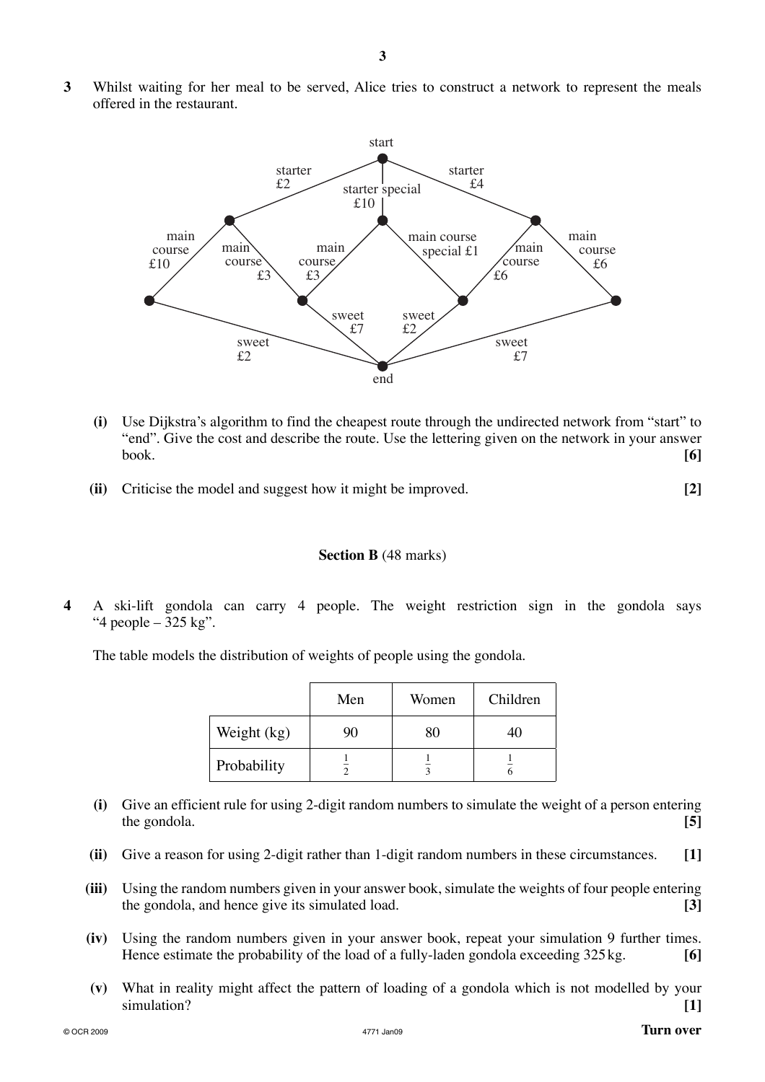**3** Whilst waiting for her meal to be served, Alice tries to construct a network to represent the meals offered in the restaurant.

**3**



- **(i)** Use Dijkstra's algorithm to find the cheapest route through the undirected network from "start" to "end". Give the cost and describe the route. Use the lettering given on the network in your answer book. **[6]**
- **(ii)** Criticise the model and suggest how it might be improved. **[2]**

#### **Section B** (48 marks)

**4** A ski-lift gondola can carry 4 people. The weight restriction sign in the gondola says "4 people – 325 kg".

The table models the distribution of weights of people using the gondola.

|             | Men | Women | Children |
|-------------|-----|-------|----------|
| Weight (kg) | 90  | 80    | 40       |
| Probability |     |       |          |

- **(i)** Give an efficient rule for using 2-digit random numbers to simulate the weight of a person entering the gondola. **[5]**
- **(ii)** Give a reason for using 2-digit rather than 1-digit random numbers in these circumstances. **[1]**
- **(iii)** Using the random numbers given in your answer book, simulate the weights of four people entering the gondola, and hence give its simulated load. **[3]**
- **(iv)** Using the random numbers given in your answer book, repeat your simulation 9 further times. Hence estimate the probability of the load of a fully-laden gondola exceeding 325 kg. **[6]**
- **(v)** What in reality might affect the pattern of loading of a gondola which is not modelled by your simulation? **[1]**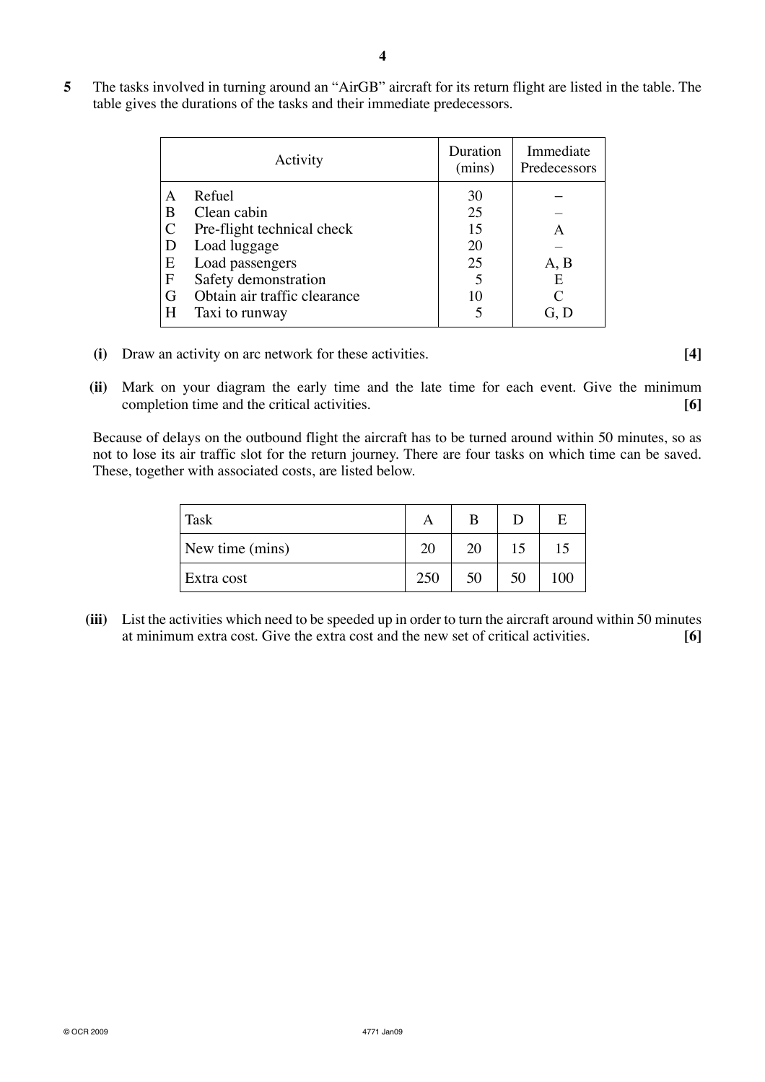**5** The tasks involved in turning around an "AirGB" aircraft for its return flight are listed in the table. The table gives the durations of the tasks and their immediate predecessors.

| Activity                          |                            | Duration<br>(mins) | Immediate<br>Predecessors |  |
|-----------------------------------|----------------------------|--------------------|---------------------------|--|
| A                                 | Refuel                     | 30                 |                           |  |
| B                                 | Clean cabin                | 25                 |                           |  |
| $\mathsf{C}$                      | Pre-flight technical check | 15                 | A                         |  |
| D                                 | Load luggage               | 20                 |                           |  |
| E                                 | Load passengers            | 25                 | A, B                      |  |
| $\mathbf{F}$                      | Safety demonstration       | 5                  | E                         |  |
| Obtain air traffic clearance<br>G |                            | 10                 |                           |  |
| Н                                 | Taxi to runway             |                    | G, D                      |  |

 **(i)** Draw an activity on arc network for these activities. **[4]**

 **(ii)** Mark on your diagram the early time and the late time for each event. Give the minimum completion time and the critical activities. **[6]**

Because of delays on the outbound flight the aircraft has to be turned around within 50 minutes, so as not to lose its air traffic slot for the return journey. There are four tasks on which time can be saved. These, together with associated costs, are listed below.

| Task            | А   | B  | D  | E   |
|-----------------|-----|----|----|-----|
| New time (mins) | 20  | 20 |    | 15  |
| Extra cost      | 250 | 50 | 50 | 100 |

 **(iii)** List the activities which need to be speeded up in order to turn the aircraft around within 50 minutes at minimum extra cost. Give the extra cost and the new set of critical activities. **[6]**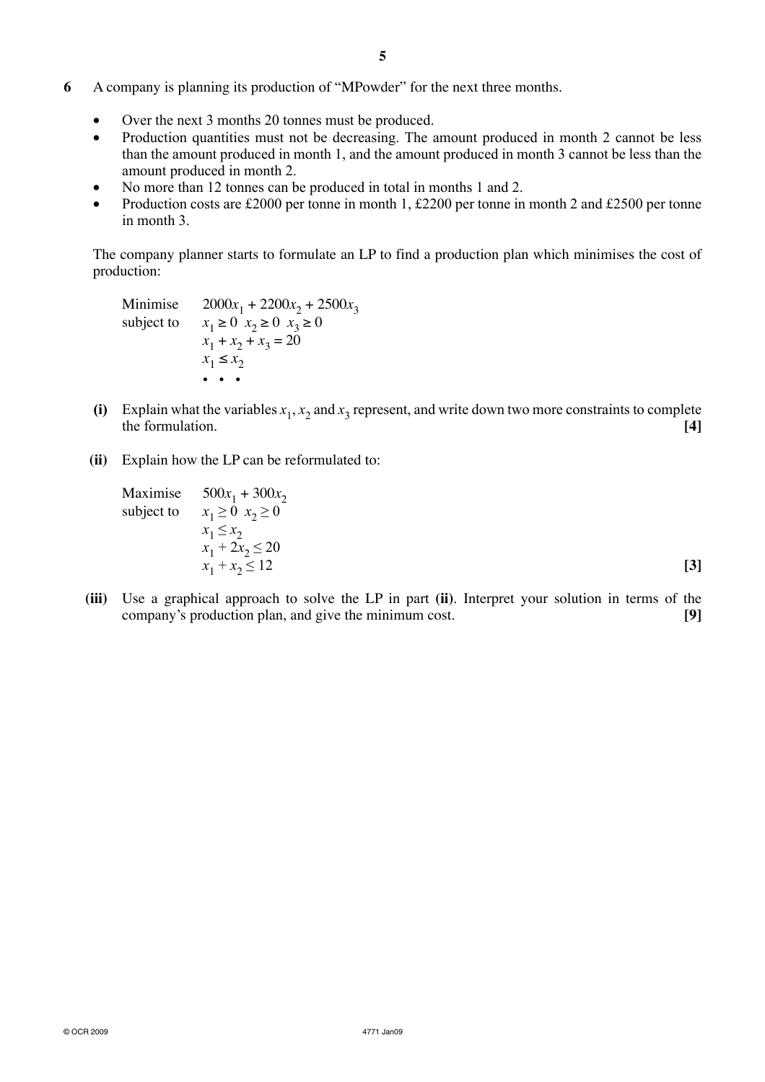- **6** A company is planning its production of "MPowder" for the next three months.
	- Over the next 3 months 20 tonnes must be produced.
	- Production quantities must not be decreasing. The amount produced in month 2 cannot be less than the amount produced in month 1, and the amount produced in month 3 cannot be less than the amount produced in month 2.
	- No more than 12 tonnes can be produced in total in months 1 and 2.
	- Production costs are  $£2000$  per tonne in month 1,  $£2200$  per tonne in month 2 and  $£2500$  per tonne in month 3.

 The company planner starts to formulate an LP to find a production plan which minimises the cost of production:

Minimise  $2000x_1 + 2200x_2 + 2500x_3$ <br>subject to  $x_1 \ge 0$   $x_2 \ge 0$   $x_3 \ge 0$  $x_1 \ge 0$   $x_2 \ge 0$   $x_3 \ge 0$  $\overline{x_1} + \overline{x_2} + \overline{x_3} = 20$  $x_1 \leq x_2$  **. . .**

- **(i)** Explain what the variables  $x_1$ ,  $x_2$  and  $x_3$  represent, and write down two more constraints to complete the formulation. [4] the formulation. **[4]**
- **(ii)** Explain how the LP can be reformulated to:

Maximise 
$$
500x_1 + 300x_2
$$
  
\nsubject to  $x_1 \ge 0$   $x_2 \ge 0$   
\n $x_1 \le x_2$   
\n $x_1 + 2x_2 \le 20$   
\n $x_1 + x_2 \le 12$  [3]

 **(iii)** Use a graphical approach to solve the LP in part **(ii)**. Interpret your solution in terms of the company's production plan, and give the minimum cost. **[9]**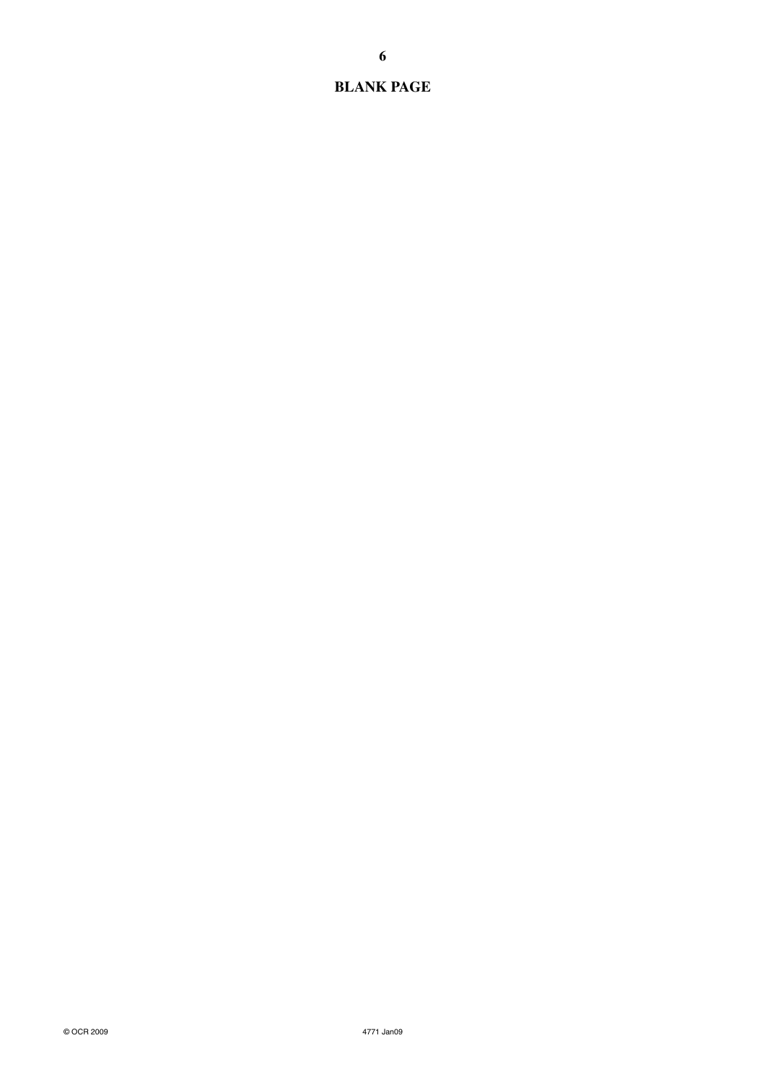# **BLANK PAGE**

**6**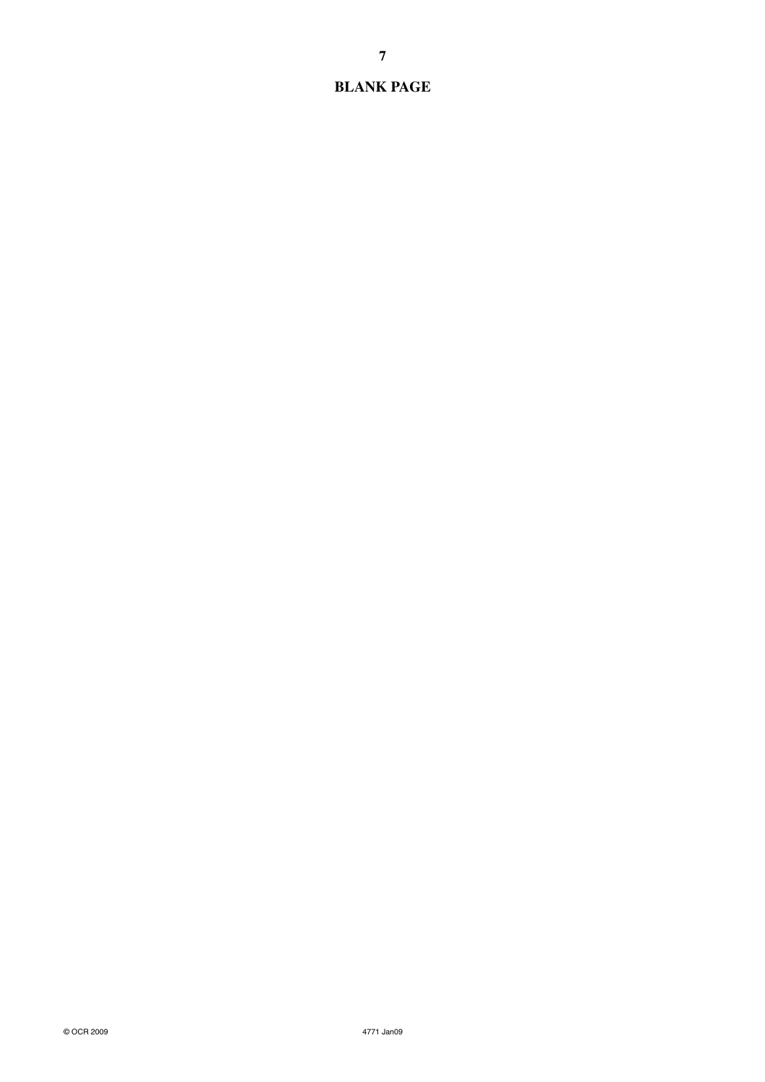# **BLANK PAGE**